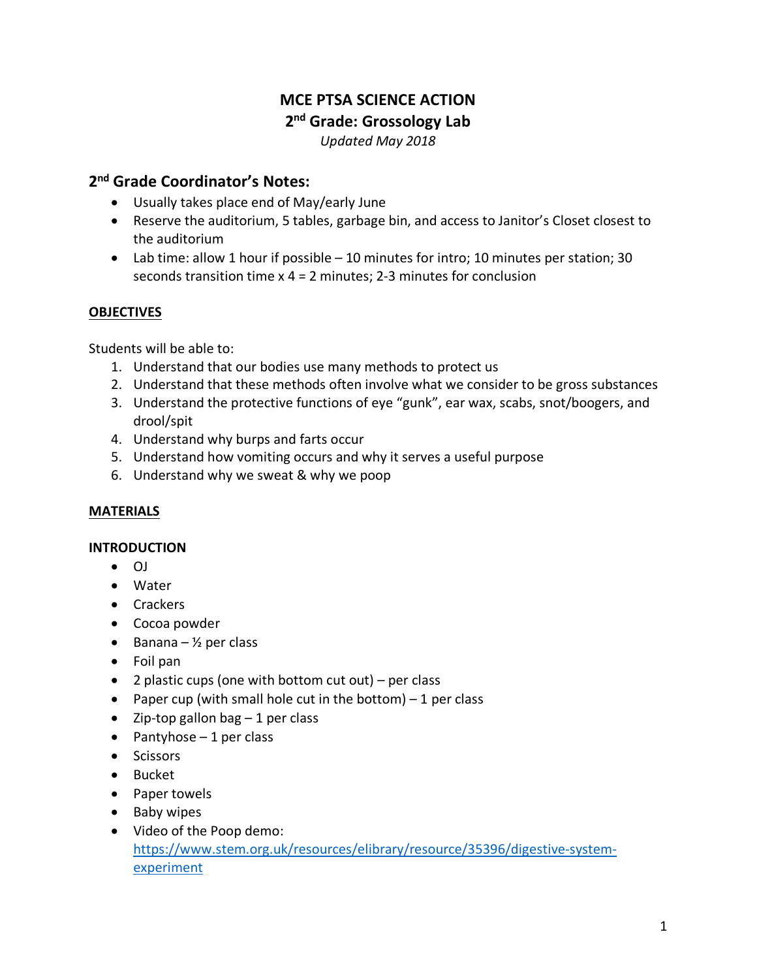# **MCE PTSA SCIENCE ACTION 2nd Grade: Grossology Lab**

# *Updated May 2018*

# **2nd Grade Coordinator's Notes:**

- Usually takes place end of May/early June
- Reserve the auditorium, 5 tables, garbage bin, and access to Janitor's Closet closest to the auditorium
- Lab time: allow 1 hour if possible 10 minutes for intro; 10 minutes per station; 30 seconds transition time x 4 = 2 minutes; 2-3 minutes for conclusion

# **OBJECTIVES**

Students will be able to:

- 1. Understand that our bodies use many methods to protect us
- 2. Understand that these methods often involve what we consider to be gross substances
- 3. Understand the protective functions of eye "gunk", ear wax, scabs, snot/boogers, and drool/spit
- 4. Understand why burps and farts occur
- 5. Understand how vomiting occurs and why it serves a useful purpose
- 6. Understand why we sweat & why we poop

# **MATERIALS**

# **INTRODUCTION**

- OJ
- Water
- Crackers
- Cocoa powder
- Banana  $\frac{1}{2}$  per class
- Foil pan
- 2 plastic cups (one with bottom cut out) per class
- Paper cup (with small hole cut in the bottom)  $-1$  per class
- Zip-top gallon bag  $-1$  per class
- $\bullet$  Pantyhose 1 per class
- Scissors
- Bucket
- Paper towels
- Baby wipes
- Video of the Poop demo: https://www.stem.org.uk/resources/elibrary/resource/35396/digestive-systemexperiment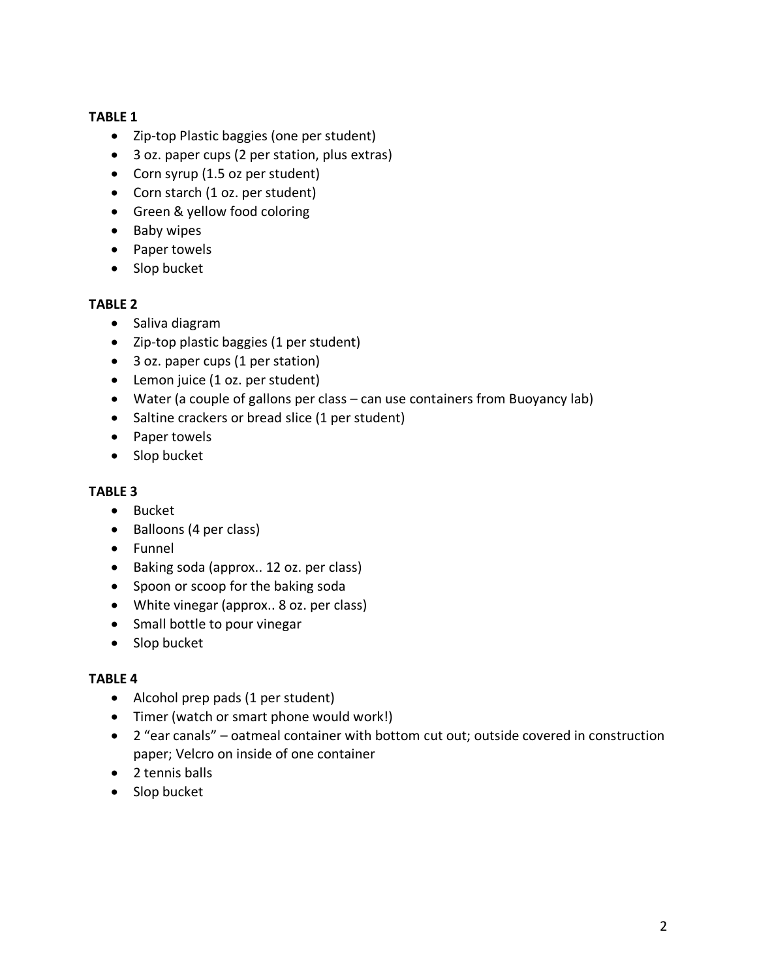# **TABLE 1**

- Zip-top Plastic baggies (one per student)
- 3 oz. paper cups (2 per station, plus extras)
- Corn syrup (1.5 oz per student)
- Corn starch (1 oz. per student)
- Green & yellow food coloring
- Baby wipes
- Paper towels
- Slop bucket

#### **TABLE 2**

- Saliva diagram
- Zip-top plastic baggies (1 per student)
- 3 oz. paper cups (1 per station)
- Lemon juice (1 oz. per student)
- Water (a couple of gallons per class can use containers from Buoyancy lab)
- Saltine crackers or bread slice (1 per student)
- Paper towels
- Slop bucket

# **TABLE 3**

- Bucket
- Balloons (4 per class)
- Funnel
- Baking soda (approx.. 12 oz. per class)
- Spoon or scoop for the baking soda
- White vinegar (approx.. 8 oz. per class)
- Small bottle to pour vinegar
- Slop bucket

# **TABLE 4**

- Alcohol prep pads (1 per student)
- Timer (watch or smart phone would work!)
- 2 "ear canals" oatmeal container with bottom cut out; outside covered in construction paper; Velcro on inside of one container
- 2 tennis balls
- Slop bucket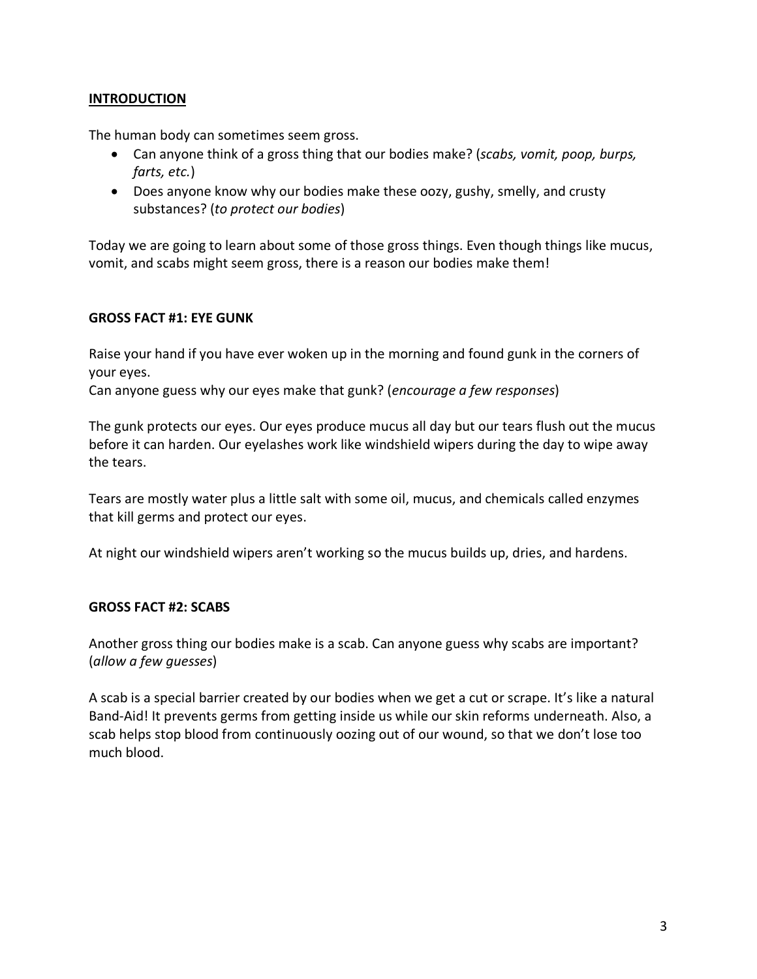#### **INTRODUCTION**

The human body can sometimes seem gross.

- Can anyone think of a gross thing that our bodies make? (*scabs, vomit, poop, burps, farts, etc.*)
- Does anyone know why our bodies make these oozy, gushy, smelly, and crusty substances? (*to protect our bodies*)

Today we are going to learn about some of those gross things. Even though things like mucus, vomit, and scabs might seem gross, there is a reason our bodies make them!

#### **GROSS FACT #1: EYE GUNK**

Raise your hand if you have ever woken up in the morning and found gunk in the corners of your eyes.

Can anyone guess why our eyes make that gunk? (*encourage a few responses*)

The gunk protects our eyes. Our eyes produce mucus all day but our tears flush out the mucus before it can harden. Our eyelashes work like windshield wipers during the day to wipe away the tears.

Tears are mostly water plus a little salt with some oil, mucus, and chemicals called enzymes that kill germs and protect our eyes.

At night our windshield wipers aren't working so the mucus builds up, dries, and hardens.

#### **GROSS FACT #2: SCABS**

Another gross thing our bodies make is a scab. Can anyone guess why scabs are important? (*allow a few guesses*)

A scab is a special barrier created by our bodies when we get a cut or scrape. It's like a natural Band-Aid! It prevents germs from getting inside us while our skin reforms underneath. Also, a scab helps stop blood from continuously oozing out of our wound, so that we don't lose too much blood.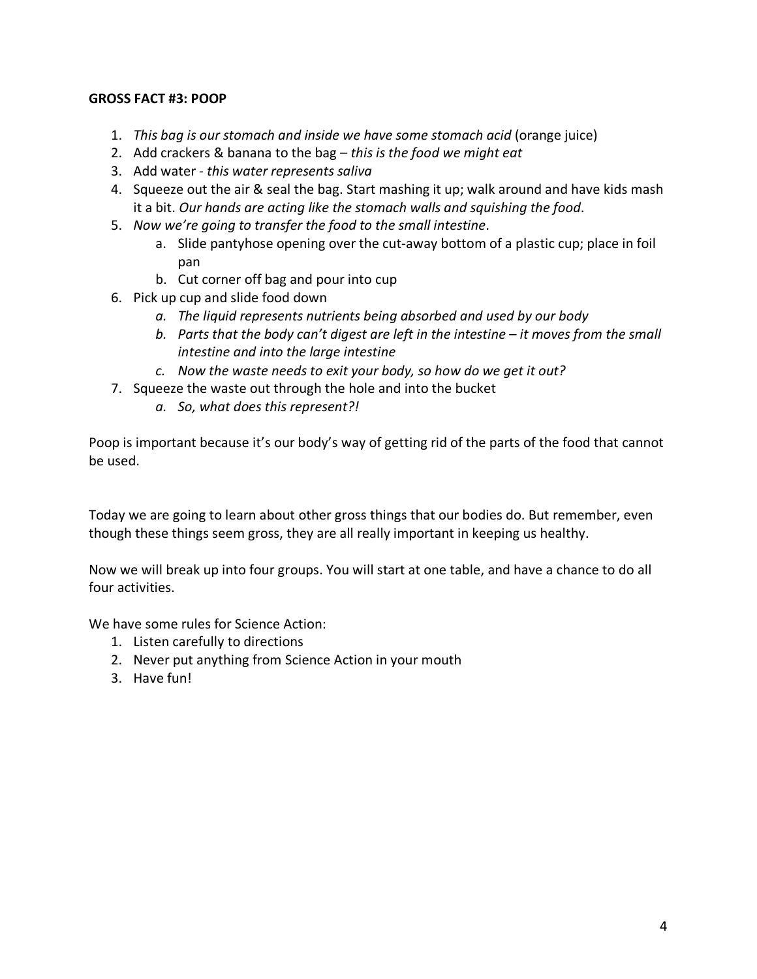# **GROSS FACT #3: POOP**

- 1. *This bag is our stomach and inside we have some stomach acid* (orange juice)
- 2. Add crackers & banana to the bag *this is the food we might eat*
- 3. Add water *this water represents saliva*
- 4. Squeeze out the air & seal the bag. Start mashing it up; walk around and have kids mash it a bit. *Our hands are acting like the stomach walls and squishing the food*.
- 5. *Now we're going to transfer the food to the small intestine*.
	- a. Slide pantyhose opening over the cut-away bottom of a plastic cup; place in foil pan
	- b. Cut corner off bag and pour into cup
- 6. Pick up cup and slide food down
	- *a. The liquid represents nutrients being absorbed and used by our body*
	- *b. Parts that the body can't digest are left in the intestine – it moves from the small intestine and into the large intestine*
	- *c. Now the waste needs to exit your body, so how do we get it out?*
- 7. Squeeze the waste out through the hole and into the bucket
	- *a. So, what does this represent?!*

Poop is important because it's our body's way of getting rid of the parts of the food that cannot be used.

Today we are going to learn about other gross things that our bodies do. But remember, even though these things seem gross, they are all really important in keeping us healthy.

Now we will break up into four groups. You will start at one table, and have a chance to do all four activities.

We have some rules for Science Action:

- 1. Listen carefully to directions
- 2. Never put anything from Science Action in your mouth
- 3. Have fun!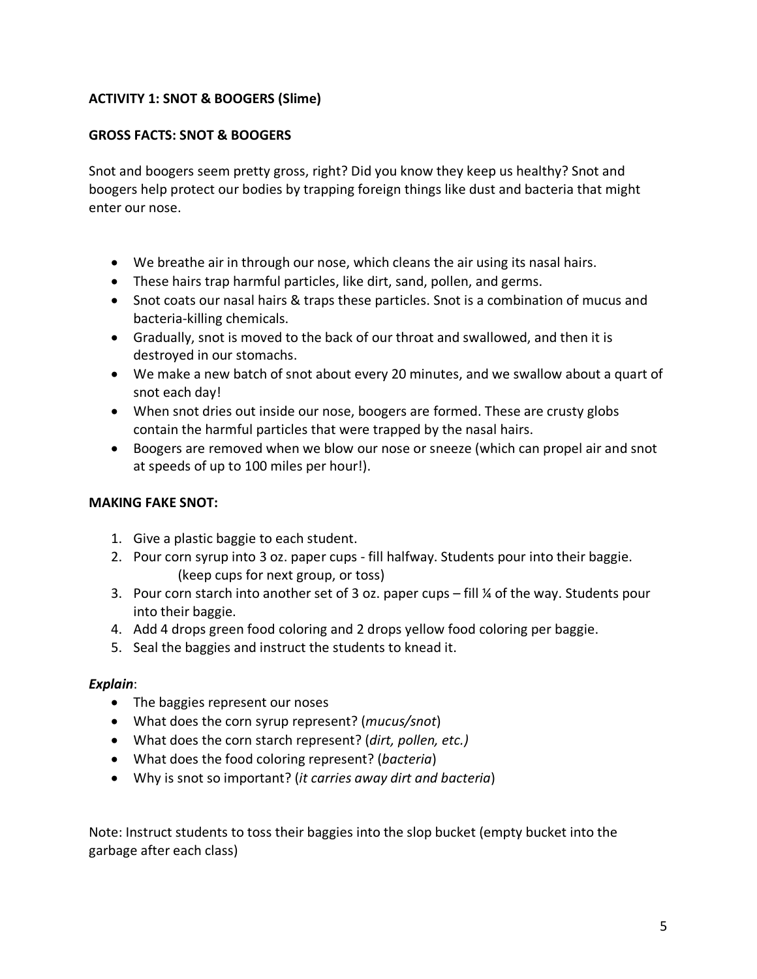# **ACTIVITY 1: SNOT & BOOGERS (Slime)**

### **GROSS FACTS: SNOT & BOOGERS**

Snot and boogers seem pretty gross, right? Did you know they keep us healthy? Snot and boogers help protect our bodies by trapping foreign things like dust and bacteria that might enter our nose.

- We breathe air in through our nose, which cleans the air using its nasal hairs.
- These hairs trap harmful particles, like dirt, sand, pollen, and germs.
- Snot coats our nasal hairs & traps these particles. Snot is a combination of mucus and bacteria-killing chemicals.
- Gradually, snot is moved to the back of our throat and swallowed, and then it is destroyed in our stomachs.
- We make a new batch of snot about every 20 minutes, and we swallow about a quart of snot each day!
- When snot dries out inside our nose, boogers are formed. These are crusty globs contain the harmful particles that were trapped by the nasal hairs.
- Boogers are removed when we blow our nose or sneeze (which can propel air and snot at speeds of up to 100 miles per hour!).

#### **MAKING FAKE SNOT:**

- 1. Give a plastic baggie to each student.
- 2. Pour corn syrup into 3 oz. paper cups fill halfway. Students pour into their baggie. (keep cups for next group, or toss)
- 3. Pour corn starch into another set of 3 oz. paper cups fill ¼ of the way. Students pour into their baggie.
- 4. Add 4 drops green food coloring and 2 drops yellow food coloring per baggie.
- 5. Seal the baggies and instruct the students to knead it.

#### *Explain*:

- The baggies represent our noses
- What does the corn syrup represent? (*mucus/snot*)
- What does the corn starch represent? (*dirt, pollen, etc.)*
- What does the food coloring represent? (*bacteria*)
- Why is snot so important? (*it carries away dirt and bacteria*)

Note: Instruct students to toss their baggies into the slop bucket (empty bucket into the garbage after each class)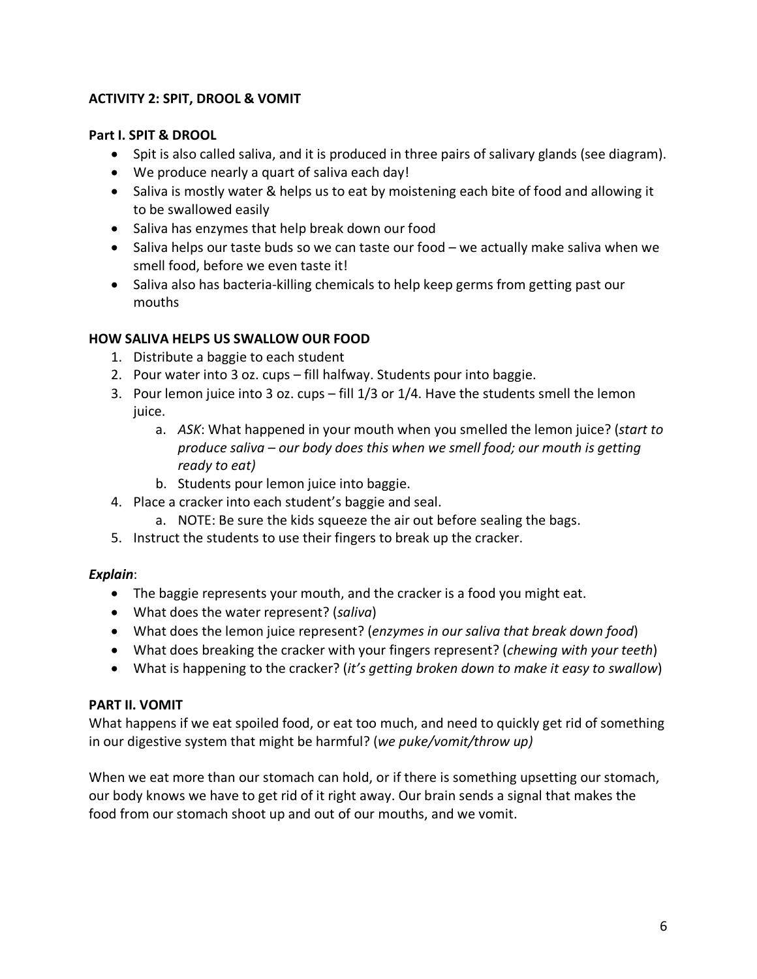# **ACTIVITY 2: SPIT, DROOL & VOMIT**

# **Part I. SPIT & DROOL**

- Spit is also called saliva, and it is produced in three pairs of salivary glands (see diagram).
- We produce nearly a quart of saliva each day!
- Saliva is mostly water & helps us to eat by moistening each bite of food and allowing it to be swallowed easily
- Saliva has enzymes that help break down our food
- Saliva helps our taste buds so we can taste our food we actually make saliva when we smell food, before we even taste it!
- Saliva also has bacteria-killing chemicals to help keep germs from getting past our mouths

# **HOW SALIVA HELPS US SWALLOW OUR FOOD**

- 1. Distribute a baggie to each student
- 2. Pour water into 3 oz. cups fill halfway. Students pour into baggie.
- 3. Pour lemon juice into 3 oz. cups fill 1/3 or 1/4. Have the students smell the lemon juice.
	- a. *ASK*: What happened in your mouth when you smelled the lemon juice? (*start to produce saliva – our body does this when we smell food; our mouth is getting ready to eat)*
	- b. Students pour lemon juice into baggie.
- 4. Place a cracker into each student's baggie and seal.
	- a. NOTE: Be sure the kids squeeze the air out before sealing the bags.
- 5. Instruct the students to use their fingers to break up the cracker.

# *Explain*:

- The baggie represents your mouth, and the cracker is a food you might eat.
- What does the water represent? (*saliva*)
- What does the lemon juice represent? (*enzymes in our saliva that break down food*)
- What does breaking the cracker with your fingers represent? (*chewing with your teeth*)
- What is happening to the cracker? (*it's getting broken down to make it easy to swallow*)

# **PART II. VOMIT**

What happens if we eat spoiled food, or eat too much, and need to quickly get rid of something in our digestive system that might be harmful? (*we puke/vomit/throw up)*

When we eat more than our stomach can hold, or if there is something upsetting our stomach, our body knows we have to get rid of it right away. Our brain sends a signal that makes the food from our stomach shoot up and out of our mouths, and we vomit.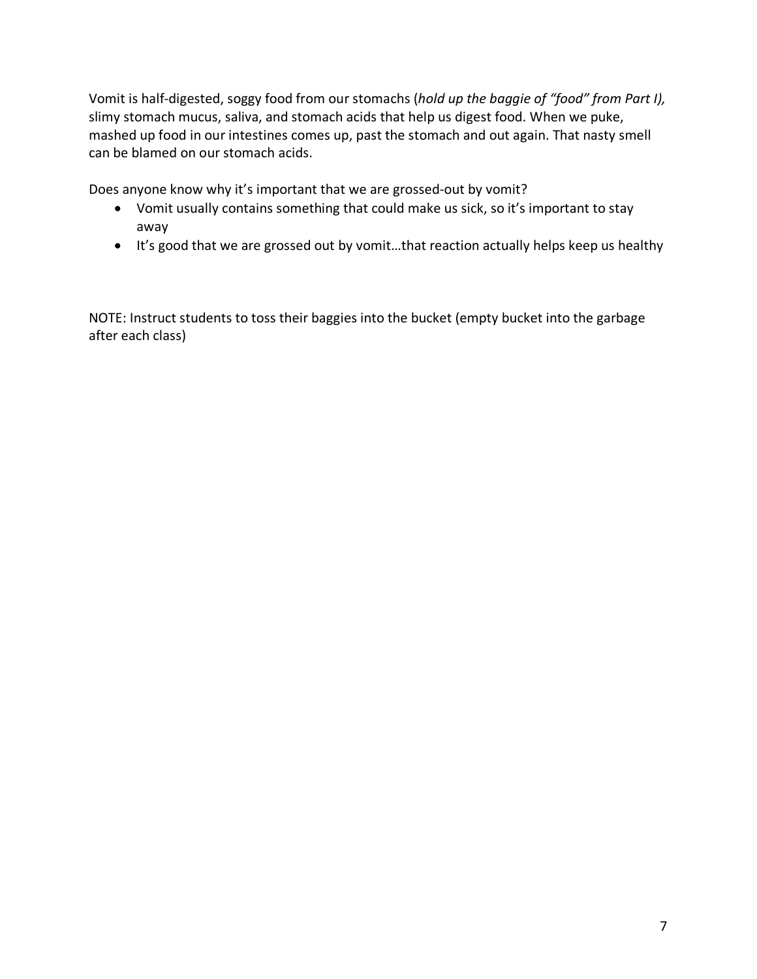Vomit is half-digested, soggy food from our stomachs (*hold up the baggie of "food" from Part I),*  slimy stomach mucus, saliva, and stomach acids that help us digest food. When we puke, mashed up food in our intestines comes up, past the stomach and out again. That nasty smell can be blamed on our stomach acids.

Does anyone know why it's important that we are grossed-out by vomit?

- Vomit usually contains something that could make us sick, so it's important to stay away
- It's good that we are grossed out by vomit…that reaction actually helps keep us healthy

NOTE: Instruct students to toss their baggies into the bucket (empty bucket into the garbage after each class)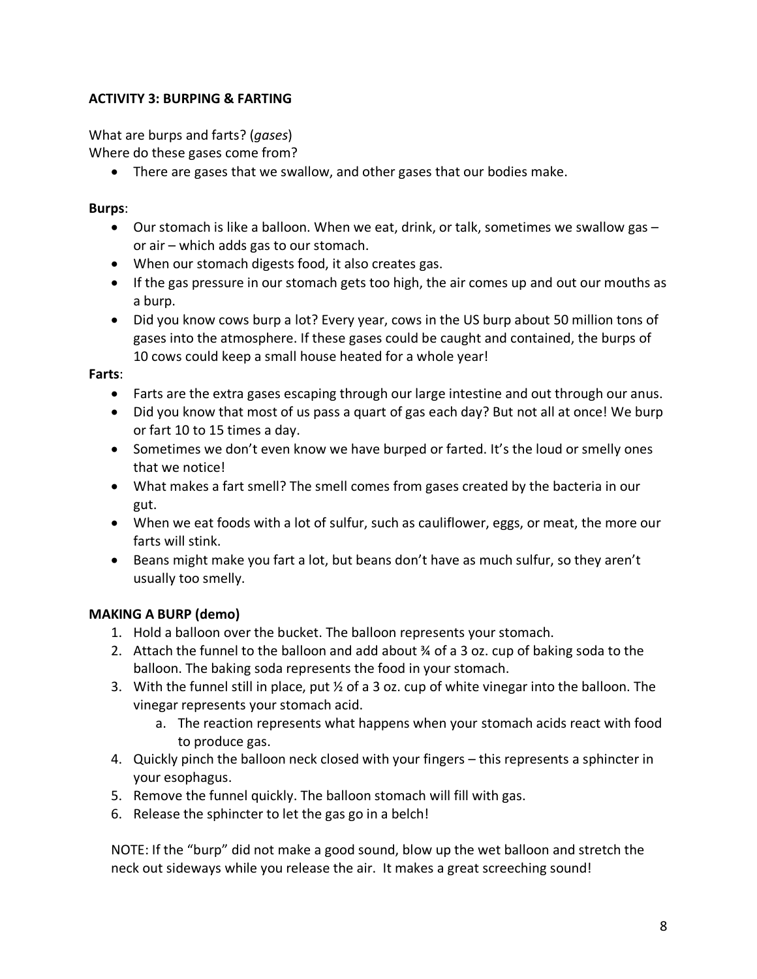# **ACTIVITY 3: BURPING & FARTING**

What are burps and farts? (*gases*)

Where do these gases come from?

• There are gases that we swallow, and other gases that our bodies make.

# **Burps**:

- Our stomach is like a balloon. When we eat, drink, or talk, sometimes we swallow gas or air – which adds gas to our stomach.
- When our stomach digests food, it also creates gas.
- If the gas pressure in our stomach gets too high, the air comes up and out our mouths as a burp.
- Did you know cows burp a lot? Every year, cows in the US burp about 50 million tons of gases into the atmosphere. If these gases could be caught and contained, the burps of 10 cows could keep a small house heated for a whole year!

# **Farts**:

- Farts are the extra gases escaping through our large intestine and out through our anus.
- Did you know that most of us pass a quart of gas each day? But not all at once! We burp or fart 10 to 15 times a day.
- Sometimes we don't even know we have burped or farted. It's the loud or smelly ones that we notice!
- What makes a fart smell? The smell comes from gases created by the bacteria in our gut.
- When we eat foods with a lot of sulfur, such as cauliflower, eggs, or meat, the more our farts will stink.
- Beans might make you fart a lot, but beans don't have as much sulfur, so they aren't usually too smelly.

# **MAKING A BURP (demo)**

- 1. Hold a balloon over the bucket. The balloon represents your stomach.
- 2. Attach the funnel to the balloon and add about  $\frac{3}{4}$  of a 3 oz. cup of baking soda to the balloon. The baking soda represents the food in your stomach.
- 3. With the funnel still in place, put  $\frac{1}{2}$  of a 3 oz. cup of white vinegar into the balloon. The vinegar represents your stomach acid.
	- a. The reaction represents what happens when your stomach acids react with food to produce gas.
- 4. Quickly pinch the balloon neck closed with your fingers this represents a sphincter in your esophagus.
- 5. Remove the funnel quickly. The balloon stomach will fill with gas.
- 6. Release the sphincter to let the gas go in a belch!

NOTE: If the "burp" did not make a good sound, blow up the wet balloon and stretch the neck out sideways while you release the air. It makes a great screeching sound!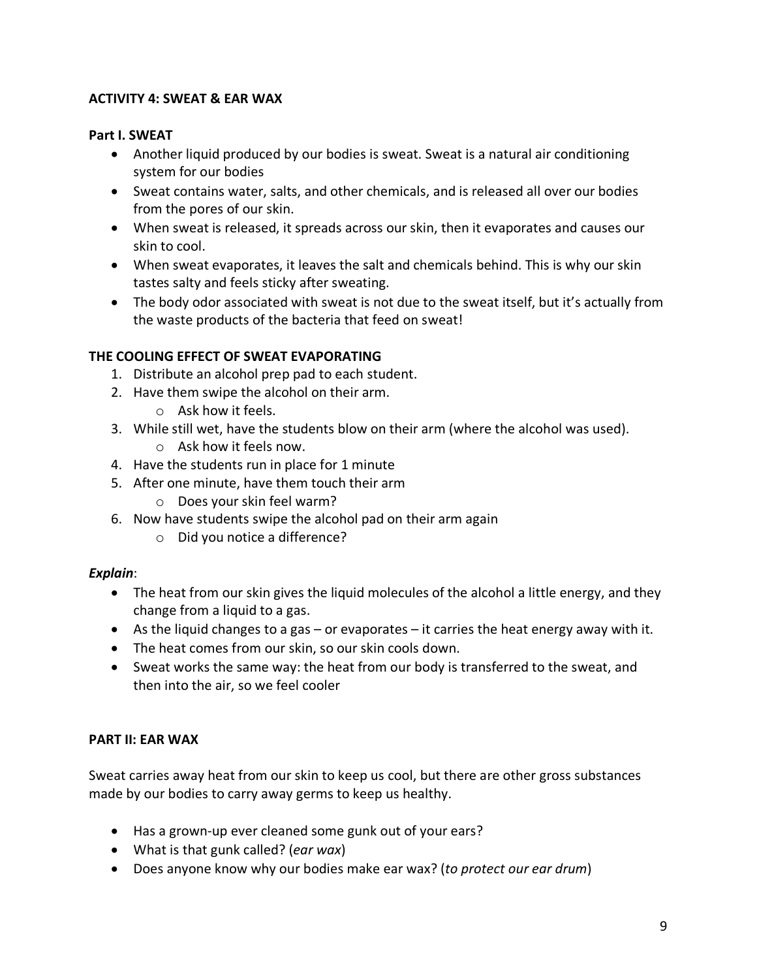# **ACTIVITY 4: SWEAT & EAR WAX**

#### **Part I. SWEAT**

- Another liquid produced by our bodies is sweat. Sweat is a natural air conditioning system for our bodies
- Sweat contains water, salts, and other chemicals, and is released all over our bodies from the pores of our skin.
- When sweat is released, it spreads across our skin, then it evaporates and causes our skin to cool.
- When sweat evaporates, it leaves the salt and chemicals behind. This is why our skin tastes salty and feels sticky after sweating.
- The body odor associated with sweat is not due to the sweat itself, but it's actually from the waste products of the bacteria that feed on sweat!

# **THE COOLING EFFECT OF SWEAT EVAPORATING**

- 1. Distribute an alcohol prep pad to each student.
- 2. Have them swipe the alcohol on their arm.
	- o Ask how it feels.
- 3. While still wet, have the students blow on their arm (where the alcohol was used). o Ask how it feels now.
- 4. Have the students run in place for 1 minute
- 5. After one minute, have them touch their arm
	- o Does your skin feel warm?
- 6. Now have students swipe the alcohol pad on their arm again
	- o Did you notice a difference?

#### *Explain*:

- The heat from our skin gives the liquid molecules of the alcohol a little energy, and they change from a liquid to a gas.
- As the liquid changes to a gas or evaporates it carries the heat energy away with it.
- The heat comes from our skin, so our skin cools down.
- Sweat works the same way: the heat from our body is transferred to the sweat, and then into the air, so we feel cooler

#### **PART II: EAR WAX**

Sweat carries away heat from our skin to keep us cool, but there are other gross substances made by our bodies to carry away germs to keep us healthy.

- Has a grown-up ever cleaned some gunk out of your ears?
- What is that gunk called? (*ear wax*)
- Does anyone know why our bodies make ear wax? (*to protect our ear drum*)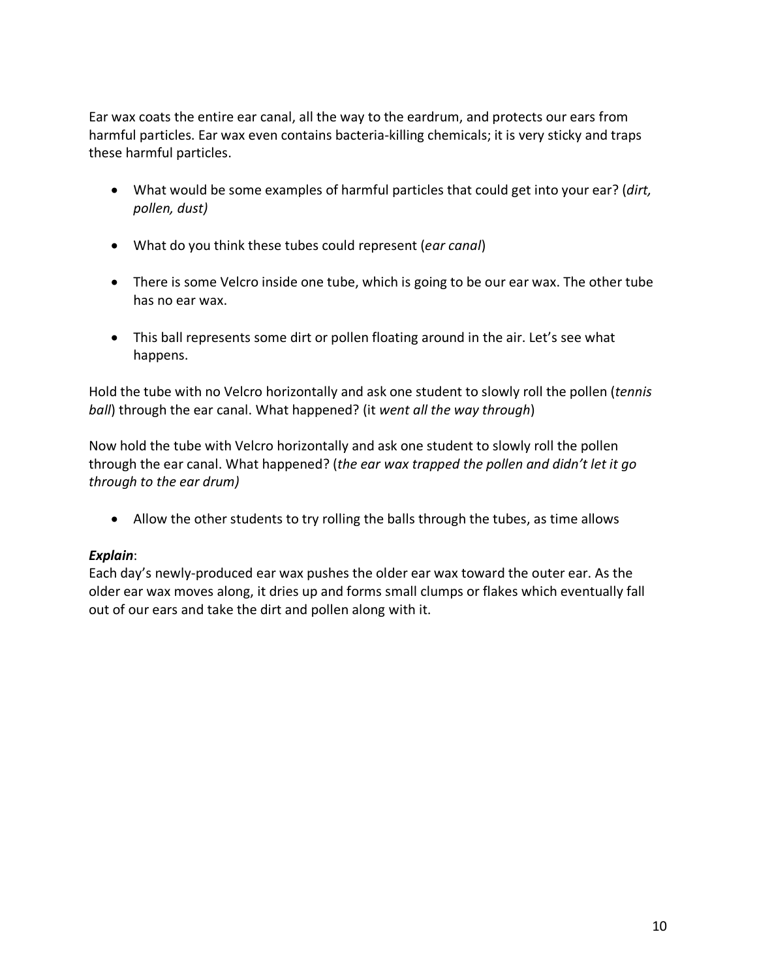Ear wax coats the entire ear canal, all the way to the eardrum, and protects our ears from harmful particles. Ear wax even contains bacteria-killing chemicals; it is very sticky and traps these harmful particles.

- What would be some examples of harmful particles that could get into your ear? (*dirt, pollen, dust)*
- What do you think these tubes could represent (*ear canal*)
- There is some Velcro inside one tube, which is going to be our ear wax. The other tube has no ear wax.
- This ball represents some dirt or pollen floating around in the air. Let's see what happens.

Hold the tube with no Velcro horizontally and ask one student to slowly roll the pollen (*tennis ball*) through the ear canal. What happened? (it *went all the way through*)

Now hold the tube with Velcro horizontally and ask one student to slowly roll the pollen through the ear canal. What happened? (*the ear wax trapped the pollen and didn't let it go through to the ear drum)*

• Allow the other students to try rolling the balls through the tubes, as time allows

# *Explain*:

Each day's newly-produced ear wax pushes the older ear wax toward the outer ear. As the older ear wax moves along, it dries up and forms small clumps or flakes which eventually fall out of our ears and take the dirt and pollen along with it.